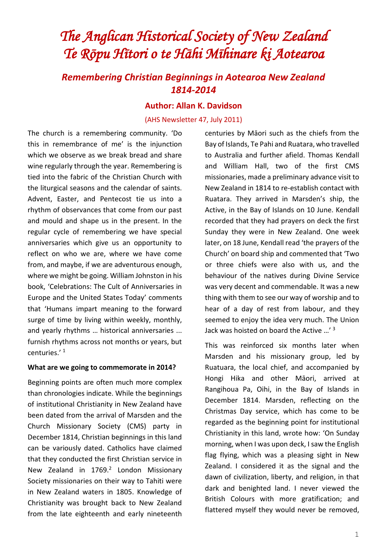# *The Anglican Historical Society of New Zealand Te Rōpu Hītori o te Hāhi Mīhinare ki Aotearoa*

# *Remembering Christian Beginnings in Aotearoa New Zealand 1814-2014*

#### **Author: Allan K. Davidson**

#### (AHS Newsletter 47, July 2011)

The church is a remembering community. 'Do this in remembrance of me' is the injunction which we observe as we break bread and share wine regularly through the year. Remembering is tied into the fabric of the Christian Church with the liturgical seasons and the calendar of saints. Advent, Easter, and Pentecost tie us into a rhythm of observances that come from our past and mould and shape us in the present. In the regular cycle of remembering we have special anniversaries which give us an opportunity to reflect on who we are, where we have come from, and maybe, if we are adventurous enough, where we might be going. William Johnston in his book, 'Celebrations: The Cult of Anniversaries in Europe and the United States Today' comments that 'Humans impart meaning to the forward surge of time by living within weekly, monthly, and yearly rhythms … historical anniversaries ... furnish rhythms across not months or years, but centuries.' <sup>1</sup>

#### **What are we going to commemorate in 2014?**

Beginning points are often much more complex than chronologies indicate. While the beginnings of institutional Christianity in New Zealand have been dated from the arrival of Marsden and the Church Missionary Society (CMS) party in December 1814, Christian beginnings in this land can be variously dated. Catholics have claimed that they conducted the first Christian service in New Zealand in 1769.<sup>2</sup> London Missionary Society missionaries on their way to Tahiti were in New Zealand waters in 1805. Knowledge of Christianity was brought back to New Zealand from the late eighteenth and early nineteenth centuries by Māori such as the chiefs from the Bay of Islands, Te Pahi and Ruatara, who travelled to Australia and further afield. Thomas Kendall and William Hall, two of the first CMS missionaries, made a preliminary advance visit to New Zealand in 1814 to re-establish contact with Ruatara. They arrived in Marsden's ship, the Active, in the Bay of Islands on 10 June. Kendall recorded that they had prayers on deck the first Sunday they were in New Zealand. One week later, on 18 June, Kendall read 'the prayers of the Church' on board ship and commented that 'Two or three chiefs were also with us, and the behaviour of the natives during Divine Service was very decent and commendable. It was a new thing with them to see our way of worship and to hear of a day of rest from labour, and they seemed to enjoy the idea very much. The Union Jack was hoisted on board the Active ...'<sup>3</sup>

This was reinforced six months later when Marsden and his missionary group, led by Ruatuara, the local chief, and accompanied by Hongi Hika and other Māori, arrived at Rangihoua Pa, Oihi, in the Bay of Islands in December 1814. Marsden, reflecting on the Christmas Day service, which has come to be regarded as the beginning point for institutional Christianity in this land, wrote how: 'On Sunday morning, when I was upon deck, I saw the English flag flying, which was a pleasing sight in New Zealand. I considered it as the signal and the dawn of civilization, liberty, and religion, in that dark and benighted land. I never viewed the British Colours with more gratification; and flattered myself they would never be removed,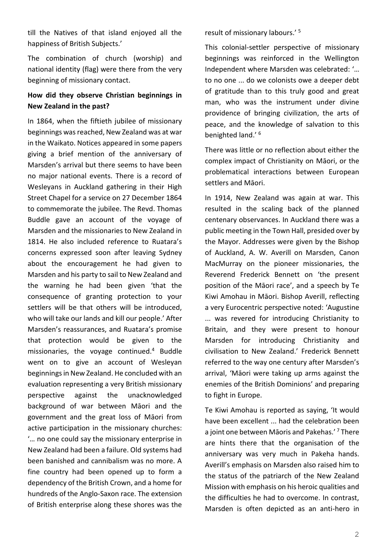till the Natives of that island enjoyed all the happiness of British Subjects.'

The combination of church (worship) and national identity (flag) were there from the very beginning of missionary contact.

### **How did they observe Christian beginnings in New Zealand in the past?**

In 1864, when the fiftieth jubilee of missionary beginnings was reached, New Zealand was at war in the Waikato. Notices appeared in some papers giving a brief mention of the anniversary of Marsden's arrival but there seems to have been no major national events. There is a record of Wesleyans in Auckland gathering in their High Street Chapel for a service on 27 December 1864 to commemorate the jubilee. The Revd. Thomas Buddle gave an account of the voyage of Marsden and the missionaries to New Zealand in 1814. He also included reference to Ruatara's concerns expressed soon after leaving Sydney about the encouragement he had given to Marsden and his party to sail to New Zealand and the warning he had been given 'that the consequence of granting protection to your settlers will be that others will be introduced, who will take our lands and kill our people.' After Marsden's reassurances, and Ruatara's promise that protection would be given to the missionaries, the voyage continued.<sup>4</sup> Buddle went on to give an account of Wesleyan beginnings in New Zealand. He concluded with an evaluation representing a very British missionary perspective against the unacknowledged background of war between Māori and the government and the great loss of Māori from active participation in the missionary churches: '… no one could say the missionary enterprise in New Zealand had been a failure. Old systems had been banished and cannibalism was no more. A fine country had been opened up to form a dependency of the British Crown, and a home for hundreds of the Anglo-Saxon race. The extension of British enterprise along these shores was the

result of missionary labours.' <sup>5</sup>

This colonial-settler perspective of missionary beginnings was reinforced in the Wellington Independent where Marsden was celebrated: '… to no one ... do we colonists owe a deeper debt of gratitude than to this truly good and great man, who was the instrument under divine providence of bringing civilization, the arts of peace, and the knowledge of salvation to this benighted land.' <sup>6</sup>

There was little or no reflection about either the complex impact of Christianity on Māori, or the problematical interactions between European settlers and Māori.

In 1914, New Zealand was again at war. This resulted in the scaling back of the planned centenary observances. In Auckland there was a public meeting in the Town Hall, presided over by the Mayor. Addresses were given by the Bishop of Auckland, A. W. Averill on Marsden, Canon MacMurray on the pioneer missionaries, the Reverend Frederick Bennett on 'the present position of the Māori race', and a speech by Te Kiwi Amohau in Māori. Bishop Averill, reflecting a very Eurocentric perspective noted: 'Augustine ... was revered for introducing Christianity to Britain, and they were present to honour Marsden for introducing Christianity and civilisation to New Zealand.' Frederick Bennett referred to the way one century after Marsden's arrival, 'Māori were taking up arms against the enemies of the British Dominions' and preparing to fight in Europe.

Te Kiwi Amohau is reported as saying, 'It would have been excellent ... had the celebration been a joint one between Māoris and Pakehas.'<sup>7</sup> There are hints there that the organisation of the anniversary was very much in Pakeha hands. Averill's emphasis on Marsden also raised him to the status of the patriarch of the New Zealand Mission with emphasis on his heroic qualities and the difficulties he had to overcome. In contrast, Marsden is often depicted as an anti-hero in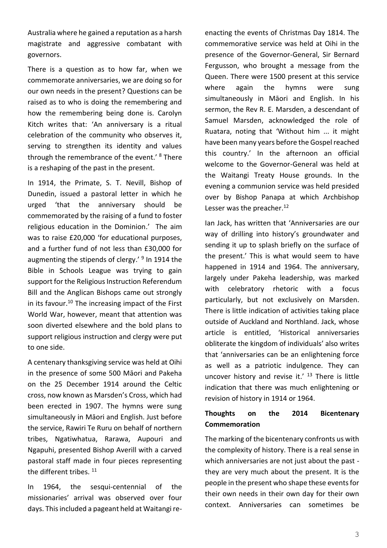Australia where he gained a reputation as a harsh magistrate and aggressive combatant with governors.

There is a question as to how far, when we commemorate anniversaries, we are doing so for our own needs in the present? Questions can be raised as to who is doing the remembering and how the remembering being done is. Carolyn Kitch writes that: 'An anniversary is a ritual celebration of the community who observes it, serving to strengthen its identity and values through the remembrance of the event.' <sup>8</sup> There is a reshaping of the past in the present.

In 1914, the Primate, S. T. Nevill, Bishop of Dunedin, issued a pastoral letter in which he urged 'that the anniversary should be commemorated by the raising of a fund to foster religious education in the Dominion.' The aim was to raise £20,000 'for educational purposes, and a further fund of not less than £30,000 for augmenting the stipends of clergy.'<sup>9</sup> In 1914 the Bible in Schools League was trying to gain support for the Religious Instruction Referendum Bill and the Anglican Bishops came out strongly in its favour.<sup>10</sup> The increasing impact of the First World War, however, meant that attention was soon diverted elsewhere and the bold plans to support religious instruction and clergy were put to one side.

A centenary thanksgiving service was held at Oihi in the presence of some 500 Māori and Pakeha on the 25 December 1914 around the Celtic cross, now known as Marsden's Cross, which had been erected in 1907. The hymns were sung simultaneously in Māori and English. Just before the service, Rawiri Te Ruru on behalf of northern tribes, Ngatiwhatua, Rarawa, Aupouri and Ngapuhi, presented Bishop Averill with a carved pastoral staff made in four pieces representing the different tribes.<sup>11</sup>

In 1964, the sesqui-centennial of the missionaries' arrival was observed over four days. This included a pageant held at Waitangi reenacting the events of Christmas Day 1814. The commemorative service was held at Oihi in the presence of the Governor-General, Sir Bernard Fergusson, who brought a message from the Queen. There were 1500 present at this service where again the hymns were sung simultaneously in Māori and English. In his sermon, the Rev R. E. Marsden, a descendant of Samuel Marsden, acknowledged the role of Ruatara, noting that 'Without him ... it might have been many years before the Gospel reached this country.' In the afternoon an official welcome to the Governor-General was held at the Waitangi Treaty House grounds. In the evening a communion service was held presided over by Bishop Panapa at which Archbishop Lesser was the preacher.<sup>12</sup>

Ian Jack, has written that 'Anniversaries are our way of drilling into history's groundwater and sending it up to splash briefly on the surface of the present.' This is what would seem to have happened in 1914 and 1964. The anniversary, largely under Pakeha leadership, was marked with celebratory rhetoric with a focus particularly, but not exclusively on Marsden. There is little indication of activities taking place outside of Auckland and Northland. Jack, whose article is entitled, 'Historical anniversaries obliterate the kingdom of individuals' also writes that 'anniversaries can be an enlightening force as well as a patriotic indulgence. They can uncover history and revise it.'  $13$  There is little indication that there was much enlightening or revision of history in 1914 or 1964.

### **Thoughts on the 2014 Bicentenary Commemoration**

The marking of the bicentenary confronts us with the complexity of history. There is a real sense in which anniversaries are not just about the past they are very much about the present. It is the people in the present who shape these events for their own needs in their own day for their own context. Anniversaries can sometimes be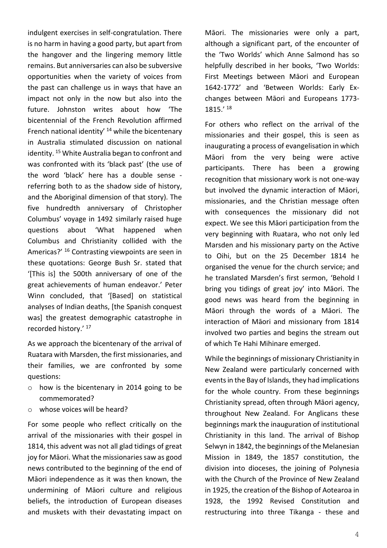indulgent exercises in self-congratulation. There is no harm in having a good party, but apart from the hangover and the lingering memory little remains. But anniversaries can also be subversive opportunities when the variety of voices from the past can challenge us in ways that have an impact not only in the now but also into the future. Johnston writes about how 'The bicentennial of the French Revolution affirmed French national identity' <sup>14</sup> while the bicentenary in Australia stimulated discussion on national identity. <sup>15</sup> White Australia began to confront and was confronted with its 'black past' (the use of the word 'black' here has a double sense referring both to as the shadow side of history, and the Aboriginal dimension of that story). The five hundredth anniversary of Christopher Columbus' voyage in 1492 similarly raised huge questions about 'What happened when Columbus and Christianity collided with the Americas?' <sup>16</sup> Contrasting viewpoints are seen in these quotations: George Bush Sr. stated that '[This is] the 500th anniversary of one of the great achievements of human endeavor.' Peter Winn concluded, that '[Based] on statistical analyses of Indian deaths, [the Spanish conquest was] the greatest demographic catastrophe in recorded history.' <sup>17</sup>

As we approach the bicentenary of the arrival of Ruatara with Marsden, the first missionaries, and their families, we are confronted by some questions:

- o how is the bicentenary in 2014 going to be commemorated?
- o whose voices will be heard?

For some people who reflect critically on the arrival of the missionaries with their gospel in 1814, this advent was not all glad tidings of great joy for Māori. What the missionaries saw as good news contributed to the beginning of the end of Māori independence as it was then known, the undermining of Māori culture and religious beliefs, the introduction of European diseases and muskets with their devastating impact on Māori. The missionaries were only a part, although a significant part, of the encounter of the 'Two Worlds' which Anne Salmond has so helpfully described in her books, 'Two Worlds: First Meetings between Māori and European 1642-1772' and 'Between Worlds: Early Exchanges between Māori and Europeans 1773- 1815.' <sup>18</sup>

For others who reflect on the arrival of the missionaries and their gospel, this is seen as inaugurating a process of evangelisation in which Māori from the very being were active participants. There has been a growing recognition that missionary work is not one-way but involved the dynamic interaction of Māori, missionaries, and the Christian message often with consequences the missionary did not expect. We see this Māori participation from the very beginning with Ruatara, who not only led Marsden and his missionary party on the Active to Oihi, but on the 25 December 1814 he organised the venue for the church service; and he translated Marsden's first sermon, 'Behold I bring you tidings of great joy' into Māori. The good news was heard from the beginning in Māori through the words of a Māori. The interaction of Māori and missionary from 1814 involved two parties and begins the stream out of which Te Hahi Mihinare emerged.

While the beginnings of missionary Christianity in New Zealand were particularly concerned with events in the Bay of Islands, they had implications for the whole country. From these beginnings Christianity spread, often through Māori agency, throughout New Zealand. For Anglicans these beginnings mark the inauguration of institutional Christianity in this land. The arrival of Bishop Selwyn in 1842, the beginnings of the Melanesian Mission in 1849, the 1857 constitution, the division into dioceses, the joining of Polynesia with the Church of the Province of New Zealand in 1925, the creation of the Bishop of Aotearoa in 1928, the 1992 Revised Constitution and restructuring into three Tikanga - these and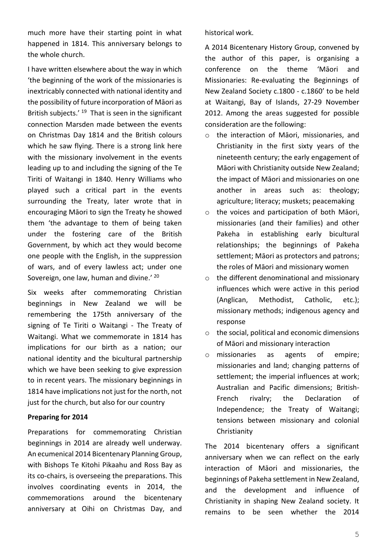much more have their starting point in what happened in 1814. This anniversary belongs to the whole church.

I have written elsewhere about the way in which 'the beginning of the work of the missionaries is inextricably connected with national identity and the possibility of future incorporation of Māori as British subjects.<sup>' 19</sup> That is seen in the significant connection Marsden made between the events on Christmas Day 1814 and the British colours which he saw flying. There is a strong link here with the missionary involvement in the events leading up to and including the signing of the Te Tiriti of Waitangi in 1840. Henry Williams who played such a critical part in the events surrounding the Treaty, later wrote that in encouraging Māori to sign the Treaty he showed them 'the advantage to them of being taken under the fostering care of the British Government, by which act they would become one people with the English, in the suppression of wars, and of every lawless act; under one Sovereign, one law, human and divine.<sup>' 20</sup>

Six weeks after commemorating Christian beginnings in New Zealand we will be remembering the 175th anniversary of the signing of Te Tiriti o Waitangi - The Treaty of Waitangi. What we commemorate in 1814 has implications for our birth as a nation; our national identity and the bicultural partnership which we have been seeking to give expression to in recent years. The missionary beginnings in 1814 have implications not just for the north, not just for the church, but also for our country

#### **Preparing for 2014**

Preparations for commemorating Christian beginnings in 2014 are already well underway. An ecumenical 2014 Bicentenary Planning Group, with Bishops Te Kitohi Pikaahu and Ross Bay as its co-chairs, is overseeing the preparations. This involves coordinating events in 2014, the commemorations around the bicentenary anniversary at Oihi on Christmas Day, and historical work.

A 2014 Bicentenary History Group, convened by the author of this paper, is organising a conference on the theme 'Māori and Missionaries: Re-evaluating the Beginnings of New Zealand Society c.1800 - c.1860' to be held at Waitangi, Bay of Islands, 27-29 November 2012. Among the areas suggested for possible consideration are the following:

- o the interaction of Māori, missionaries, and Christianity in the first sixty years of the nineteenth century; the early engagement of Māori with Christianity outside New Zealand; the impact of Māori and missionaries on one another in areas such as: theology; agriculture; literacy; muskets; peacemaking
- o the voices and participation of both Māori, missionaries (and their families) and other Pakeha in establishing early bicultural relationships; the beginnings of Pakeha settlement; Māori as protectors and patrons; the roles of Māori and missionary women
- o the different denominational and missionary influences which were active in this period (Anglican, Methodist, Catholic, etc.); missionary methods; indigenous agency and response
- o the social, political and economic dimensions of Māori and missionary interaction
- o missionaries as agents of empire; missionaries and land; changing patterns of settlement; the imperial influences at work; Australian and Pacific dimensions; British-French rivalry; the Declaration of Independence; the Treaty of Waitangi; tensions between missionary and colonial Christianity

The 2014 bicentenary offers a significant anniversary when we can reflect on the early interaction of Māori and missionaries, the beginnings of Pakeha settlement in New Zealand, and the development and influence of Christianity in shaping New Zealand society. It remains to be seen whether the 2014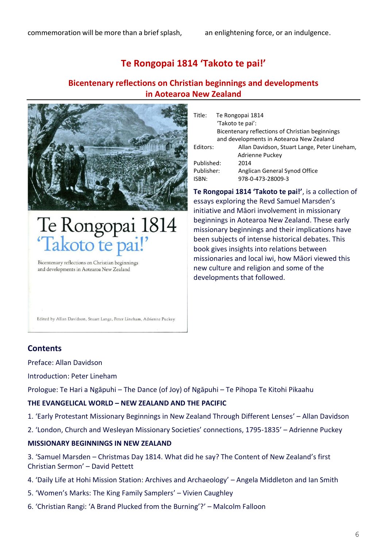# **Te Rongopai 1814 'Takoto te pai!'**

## **Bicentenary reflections on Christian beginnings and developments in Aotearoa New Zealand**



# Te Rongopai 1814<br>Takoto te pai!'

Bicentenary reflections on Christian beginnings and developments in Aotearoa New Zealand

| Title:     | Te Rongopai 1814                                |                                              |
|------------|-------------------------------------------------|----------------------------------------------|
|            |                                                 | 'Takoto te pai':                             |
|            | Bicentenary reflections of Christian beginnings |                                              |
|            | and developments in Aotearoa New Zealand        |                                              |
| Editors:   |                                                 | Allan Davidson, Stuart Lange, Peter Lineham, |
|            |                                                 | Adrienne Puckey                              |
| Published: |                                                 | 2014                                         |
| Publisher: |                                                 | Anglican General Synod Office                |
| ISBN:      |                                                 | 978-0-473-28009-3                            |
|            |                                                 |                                              |

**Te Rongopai 1814 'Takoto te pai!'**, is a collection of essays exploring the Revd Samuel Marsden's initiative and Māori involvement in missionary beginnings in Aotearoa New Zealand. These early missionary beginnings and their implications have been subjects of intense historical debates. This book gives insights into relations between missionaries and local iwi, how Māori viewed this new culture and religion and some of the developments that followed.

Edited by Allan Davidson, Stuart Lange, Peter Lineham, Adrienne Puckey

### **Contents**

Preface: Allan Davidson

Introduction: Peter Lineham

Prologue: Te Hari a Ngāpuhi – The Dance (of Joy) of Ngāpuhi – Te Pihopa Te Kitohi Pikaahu

#### **THE EVANGELICAL WORLD – NEW ZEALAND AND THE PACIFIC**

- 1. 'Early Protestant Missionary Beginnings in New Zealand Through Different Lenses' Allan Davidson
- 2. 'London, Church and Wesleyan Missionary Societies' connections, 1795-1835' Adrienne Puckey

#### **MISSIONARY BEGINNINGS IN NEW ZEALAND**

3. 'Samuel Marsden – Christmas Day 1814. What did he say? The Content of New Zealand's first Christian Sermon' – David Pettett

- 4. 'Daily Life at Hohi Mission Station: Archives and Archaeology' Angela Middleton and Ian Smith
- 5. 'Women's Marks: The King Family Samplers' Vivien Caughley
- 6. 'Christian Rangi: 'A Brand Plucked from the Burning'?' Malcolm Falloon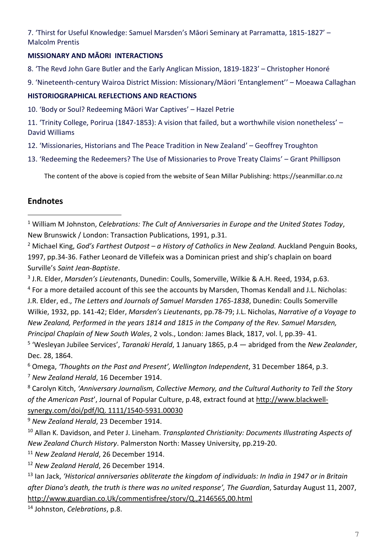7. 'Thirst for Useful Knowledge: Samuel Marsden's Māori Seminary at Parramatta, 1815-1827' – Malcolm Prentis

### **MISSIONARY AND MĀORI INTERACTIONS**

- 8. 'The Revd John Gare Butler and the Early Anglican Mission, 1819-1823' Christopher Honoré
- 9. 'Nineteenth-century Wairoa District Mission: Missionary/Māori 'Entanglement'' Moeawa Callaghan

### **HISTORIOGRAPHICAL REFLECTIONS AND REACTIONS**

10. 'Body or Soul? Redeeming Māori War Captives' – Hazel Petrie

11. 'Trinity College, Porirua (1847-1853): A vision that failed, but a worthwhile vision nonetheless' – David Williams

- 12. 'Missionaries, Historians and The Peace Tradition in New Zealand' Geoffrey Troughton
- 13. 'Redeeming the Redeemers? The Use of Missionaries to Prove Treaty Claims' Grant Phillipson

The content of the above is copied from the website of Sean Millar Publishing: https://seanmillar.co.nz

# **Endnotes**

<sup>2</sup> Michael King, *God's Farthest Outpost – a History of Catholics in New Zealand.* Auckland Penguin Books, 1997, pp.34-36. Father Leonard de Villefeix was a Dominican priest and ship's chaplain on board Surville's *Saint Jean-Baptiste*.

3 J.R. Elder, *Marsden's Lieutenants*, Dunedin: Coulls, Somerville, Wilkie & A.H. Reed, 1934, p.63.

<sup>4</sup> For a more detailed account of this see the accounts by Marsden, Thomas Kendall and J.L. Nicholas: J.R. Elder, ed., *The Letters and Journals of Samuel Marsden 1765-1838*, Dunedin: Coulls Somerville Wilkie, 1932, pp. 141-42; Elder, *Marsden's Lieutenants*, pp.78-79; J.L. Nicholas, *Narrative of a Voyage to New Zealand, Performed in the years 1814 and 1815 in the Company of the Rev. Samuel Marsden, Principal Chaplain of New South Wales*, 2 vols., London: James Black, 1817, vol. l, pp.39- 41.

5 'Wesleyan Jubilee Services', *Taranaki Herald*, 1 January 1865, p.4 — abridged from the *New Zealander*, Dec. 28, 1864.

<sup>6</sup> Omega, *'Thoughts on the Past and Present', Wellington Independent*, 31 December 1864, p.3.

<sup>7</sup> *New Zealand Herald*, 16 December 1914.

<sup>8</sup> Carolyn Kitch, *'Anniversary Journalism, Collective Memory, and the Cultural Authority to Tell the Story of the American Past*', Journal of Popular Culture, p.48, extract found at [http://www.bla](http://www.bl/)ckwellsynergy.com/doi/pdf/lQ. 1111/1540-5931.00030

<sup>9</sup> *New Zealand Herald*, 23 December 1914.

<sup>10</sup> Allan K. Davidson, and Peter J. Lineham. *Transplanted Christianity: Documents Illustrating Aspects of New Zealand Church History*. Palmerston North: Massey University, pp.219-20.

<sup>11</sup> *New Zealand Herald*, 26 December 1914.

<sup>12</sup> *New Zealand Herald*, 26 December 1914.

<sup>13</sup> Ian Jack, *'Historical anniversaries obliterate the kingdom of individuals: In India in 1947 or in Britain after Diana's death, the truth is there was no united response', The Guardian*, Saturday August 11, 2007, [http://www.guardian.co.Uk/commentisfree/storv/Q.,2146565,00.html](http://www.guardian.co.uk/commentisfree/storv/Q.,2146565,00.html)

<sup>14</sup> Johnston, *Celebrations*, p.8.

<sup>1</sup> William M Johnston, *Celebrations: The Cult of Anniversaries in Europe and the United States Today*, New Brunswick / London: Transaction Publications, 1991, p.31.